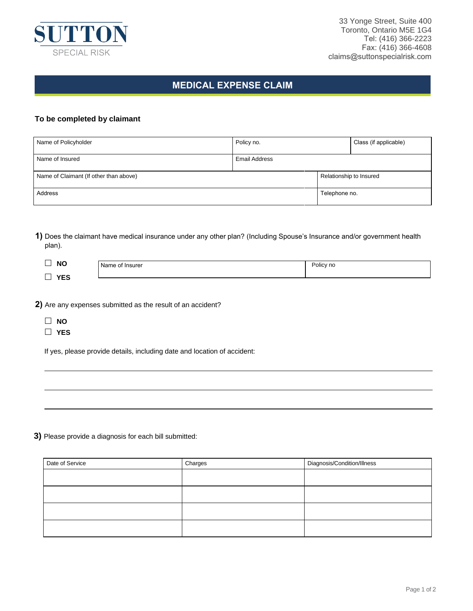

## **MEDICAL EXPENSE CLAIM**

## **To be completed by claimant**

| Name of Policyholder                   | Policy no.           |                         | Class (if applicable) |
|----------------------------------------|----------------------|-------------------------|-----------------------|
| Name of Insured                        | <b>Email Address</b> |                         |                       |
| Name of Claimant (If other than above) |                      | Relationship to Insured |                       |
| Address                                |                      | Telephone no.           |                       |

**1)** Does the claimant have medical insurance under any other plan? (Including Spouse's Insurance and/or government health plan).

| <b>NC</b><br>        | of Insurer<br>.Ner<br>me. | Policy no |
|----------------------|---------------------------|-----------|
| نعا<br>$\sim$ $\sim$ |                           |           |

**2)** Are any expenses submitted as the result of an accident?

- **NO**
- **YES**

If yes, please provide details, including date and location of accident:

## **3)** Please provide a diagnosis for each bill submitted:

| Date of Service | Charges | Diagnosis/Condition/Illness |  |
|-----------------|---------|-----------------------------|--|
|                 |         |                             |  |
|                 |         |                             |  |
|                 |         |                             |  |
|                 |         |                             |  |